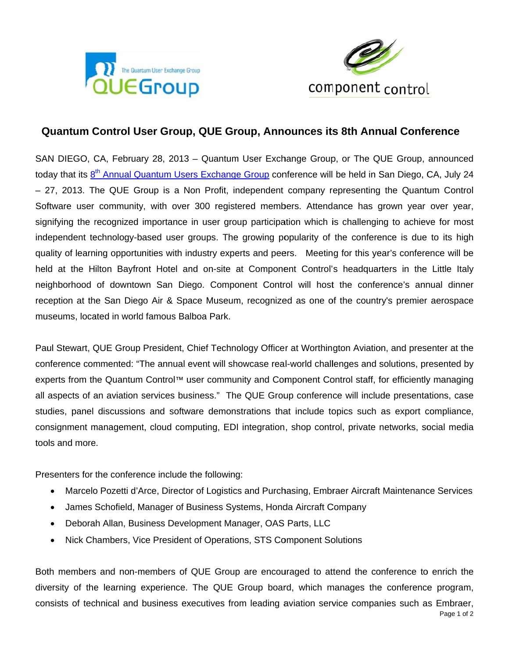



## Quantum Control User Group, QUE Group, Announces its 8th Annual Conference

SAN DIEGO, CA, February 28, 2013 - Quantum User Exchange Group, or The QUE Group, announced today that its 8<sup>th</sup> Annual Quantum Users Exchange Group conference will be held in San Diego, CA, July 24 - 27, 2013. The QUE Group is a Non Profit, independent company representing the Quantum Control Software user community, with over 300 registered members. Attendance has grown year over year, signifying the recognized importance in user group participation which is challenging to achieve for most independent technology-based user groups. The growing popularity of the conference is due to its high quality of learning opportunities with industry experts and peers. Meeting for this year's conference will be held at the Hilton Bayfront Hotel and on-site at Component Control's headquarters in the Little Italy neighborhood of downtown San Diego. Component Control will host the conference's annual dinner reception at the San Diego Air & Space Museum, recognized as one of the country's premier aerospace museums, located in world famous Balboa Park.

Paul Stewart, QUE Group President, Chief Technology Officer at Worthington Aviation, and presenter at the conference commented: "The annual event will showcase real-world challenges and solutions, presented by experts from the Quantum Control™ user community and Component Control staff, for efficiently managing all aspects of an aviation services business." The QUE Group conference will include presentations, case studies, panel discussions and software demonstrations that include topics such as export compliance, consignment management, cloud computing, EDI integration, shop control, private networks, social media tools and more.

Presenters for the conference include the following:

- Marcelo Pozetti d'Arce, Director of Logistics and Purchasing, Embraer Aircraft Maintenance Services
- James Schofield, Manager of Business Systems, Honda Aircraft Company
- Deborah Allan, Business Development Manager, OAS Parts, LLC
- $\bullet$ Nick Chambers, Vice President of Operations, STS Component Solutions

Both members and non-members of QUE Group are encouraged to attend the conference to enrich the diversity of the learning experience. The QUE Group board, which manages the conference program, consists of technical and business executives from leading aviation service companies such as Embraer,